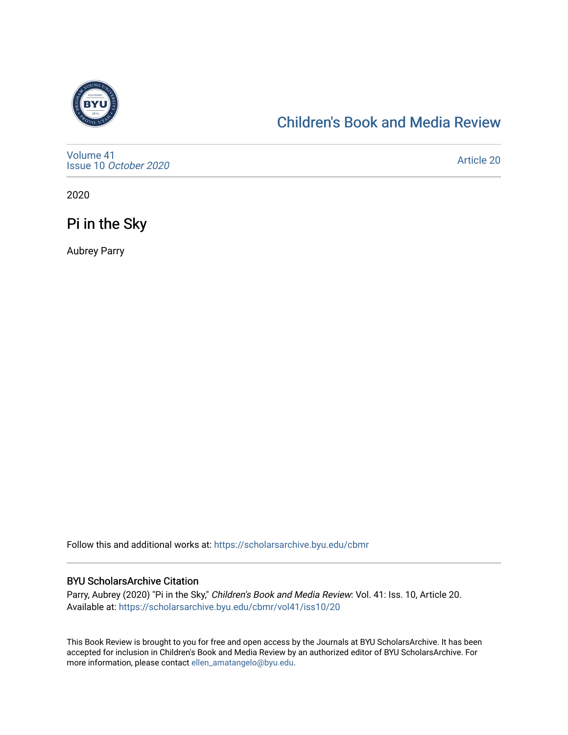

## [Children's Book and Media Review](https://scholarsarchive.byu.edu/cbmr)

[Volume 41](https://scholarsarchive.byu.edu/cbmr/vol41) Issue 10 [October 2020](https://scholarsarchive.byu.edu/cbmr/vol41/iss10)

[Article 20](https://scholarsarchive.byu.edu/cbmr/vol41/iss10/20) 

2020

Pi in the Sky

Aubrey Parry

Follow this and additional works at: [https://scholarsarchive.byu.edu/cbmr](https://scholarsarchive.byu.edu/cbmr?utm_source=scholarsarchive.byu.edu%2Fcbmr%2Fvol41%2Fiss10%2F20&utm_medium=PDF&utm_campaign=PDFCoverPages) 

#### BYU ScholarsArchive Citation

Parry, Aubrey (2020) "Pi in the Sky," Children's Book and Media Review: Vol. 41: Iss. 10, Article 20. Available at: [https://scholarsarchive.byu.edu/cbmr/vol41/iss10/20](https://scholarsarchive.byu.edu/cbmr/vol41/iss10/20?utm_source=scholarsarchive.byu.edu%2Fcbmr%2Fvol41%2Fiss10%2F20&utm_medium=PDF&utm_campaign=PDFCoverPages) 

This Book Review is brought to you for free and open access by the Journals at BYU ScholarsArchive. It has been accepted for inclusion in Children's Book and Media Review by an authorized editor of BYU ScholarsArchive. For more information, please contact [ellen\\_amatangelo@byu.edu.](mailto:ellen_amatangelo@byu.edu)